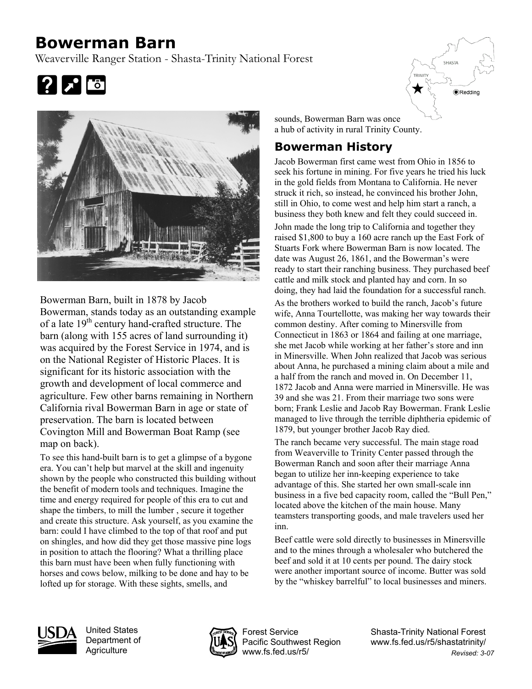## **Bowerman Barn**

Weaverville Ranger Station - Shasta-Trinity National Forest





Bowerman Barn, built in 1878 by Jacob Bowerman, stands today as an outstanding example of a late  $19<sup>th</sup>$  century hand-crafted structure. The barn (along with 155 acres of land surrounding it) was acquired by the Forest Service in 1974, and is on the National Register of Historic Places. It is significant for its historic association with the growth and development of local commerce and agriculture. Few other barns remaining in Northern California rival Bowerman Barn in age or state of preservation. The barn is located between Covington Mill and Bowerman Boat Ramp (see map on back).

To see this hand-built barn is to get a glimpse of a bygone era. You can't help but marvel at the skill and ingenuity shown by the people who constructed this building without the benefit of modern tools and techniques. Imagine the time and energy required for people of this era to cut and shape the timbers, to mill the lumber , secure it together and create this structure. Ask yourself, as you examine the barn: could I have climbed to the top of that roof and put on shingles, and how did they get those massive pine logs in position to attach the flooring? What a thrilling place this barn must have been when fully functioning with horses and cows below, milking to be done and hay to be lofted up for storage. With these sights, smells, and

sounds, Bowerman Barn was once a hub of activity in rural Trinity County.

## **Bowerman History**

Jacob Bowerman first came west from Ohio in 1856 to seek his fortune in mining. For five years he tried his luck in the gold fields from Montana to California. He never struck it rich, so instead, he convinced his brother John, still in Ohio, to come west and help him start a ranch, a business they both knew and felt they could succeed in.

John made the long trip to California and together they raised \$1,800 to buy a 160 acre ranch up the East Fork of Stuarts Fork where Bowerman Barn is now located. The date was August 26, 1861, and the Bowerman's were ready to start their ranching business. They purchased beef cattle and milk stock and planted hay and corn. In so doing, they had laid the foundation for a successful ranch.

As the brothers worked to build the ranch, Jacob's future wife, Anna Tourtellotte, was making her way towards their common destiny. After coming to Minersville from Connecticut in 1863 or 1864 and failing at one marriage, she met Jacob while working at her father's store and inn in Minersville. When John realized that Jacob was serious about Anna, he purchased a mining claim about a mile and a half from the ranch and moved in. On December 11, 1872 Jacob and Anna were married in Minersville. He was 39 and she was 21. From their marriage two sons were born; Frank Leslie and Jacob Ray Bowerman. Frank Leslie managed to live through the terrible diphtheria epidemic of 1879, but younger brother Jacob Ray died.

The ranch became very successful. The main stage road from Weaverville to Trinity Center passed through the Bowerman Ranch and soon after their marriage Anna began to utilize her inn-keeping experience to take advantage of this. She started her own small-scale inn business in a five bed capacity room, called the "Bull Pen," located above the kitchen of the main house. Many teamsters transporting goods, and male travelers used her inn.

Beef cattle were sold directly to businesses in Minersville and to the mines through a wholesaler who butchered the beef and sold it at 10 cents per pound. The dairy stock were another important source of income. Butter was sold by the "whiskey barrelful" to local businesses and miners.



United States Department of **Agriculture** 



Forest Service Pacific Southwest Region www.fs.fed.us/r5/

Shasta-Trinity National Forest www.fs.fed.us/r5/shastatrinity/ *Revised: 3-07* 

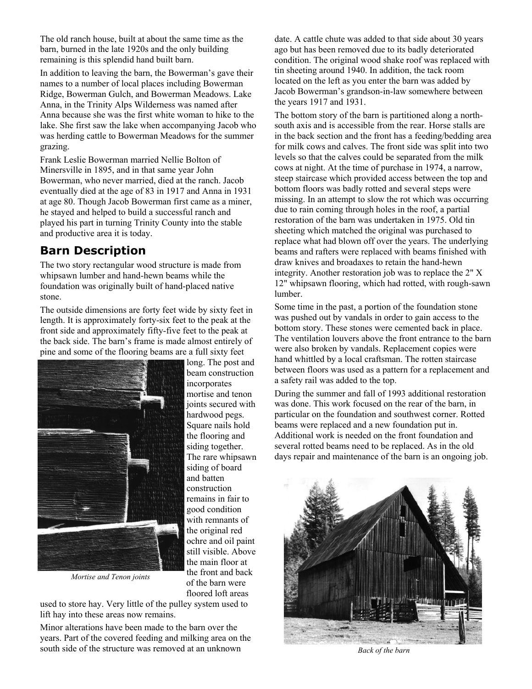The old ranch house, built at about the same time as the barn, burned in the late 1920s and the only building remaining is this splendid hand built barn.

In addition to leaving the barn, the Bowerman's gave their names to a number of local places including Bowerman Ridge, Bowerman Gulch, and Bowerman Meadows. Lake Anna, in the Trinity Alps Wilderness was named after Anna because she was the first white woman to hike to the lake. She first saw the lake when accompanying Jacob who was herding cattle to Bowerman Meadows for the summer grazing.

Frank Leslie Bowerman married Nellie Bolton of Minersville in 1895, and in that same year John Bowerman, who never married, died at the ranch. Jacob eventually died at the age of 83 in 1917 and Anna in 1931 at age 80. Though Jacob Bowerman first came as a miner, he stayed and helped to build a successful ranch and played his part in turning Trinity County into the stable and productive area it is today.

## **Barn Description**

The two story rectangular wood structure is made from whipsawn lumber and hand-hewn beams while the foundation was originally built of hand-placed native stone.

The outside dimensions are forty feet wide by sixty feet in length. It is approximately forty-six feet to the peak at the front side and approximately fifty-five feet to the peak at the back side. The barn's frame is made almost entirely of pine and some of the flooring beams are a full sixty feet



*Mortise and Tenon joints* 

long. The post and beam construction incorporates mortise and tenon joints secured with hardwood pegs. Square nails hold the flooring and siding together. The rare whipsawn siding of board and batten construction remains in fair to good condition with remnants of the original red ochre and oil paint still visible. Above the main floor at the front and back of the barn were floored loft areas

used to store hay. Very little of the pulley system used to lift hay into these areas now remains.

Minor alterations have been made to the barn over the years. Part of the covered feeding and milking area on the south side of the structure was removed at an unknown

date. A cattle chute was added to that side about 30 years ago but has been removed due to its badly deteriorated condition. The original wood shake roof was replaced with tin sheeting around 1940. In addition, the tack room located on the left as you enter the barn was added by Jacob Bowerman's grandson-in-law somewhere between the years 1917 and 1931.

The bottom story of the barn is partitioned along a northsouth axis and is accessible from the rear. Horse stalls are in the back section and the front has a feeding/bedding area for milk cows and calves. The front side was split into two levels so that the calves could be separated from the milk cows at night. At the time of purchase in 1974, a narrow, steep staircase which provided access between the top and bottom floors was badly rotted and several steps were missing. In an attempt to slow the rot which was occurring due to rain coming through holes in the roof, a partial restoration of the barn was undertaken in 1975. Old tin sheeting which matched the original was purchased to replace what had blown off over the years. The underlying beams and rafters were replaced with beams finished with draw knives and broadaxes to retain the hand-hewn integrity. Another restoration job was to replace the 2" X 12" whipsawn flooring, which had rotted, with rough-sawn lumber.

Some time in the past, a portion of the foundation stone was pushed out by vandals in order to gain access to the bottom story. These stones were cemented back in place. The ventilation louvers above the front entrance to the barn were also broken by vandals. Replacement copies were hand whittled by a local craftsman. The rotten staircase between floors was used as a pattern for a replacement and a safety rail was added to the top.

During the summer and fall of 1993 additional restoration was done. This work focused on the rear of the barn, in particular on the foundation and southwest corner. Rotted beams were replaced and a new foundation put in. Additional work is needed on the front foundation and several rotted beams need to be replaced. As in the old days repair and maintenance of the barn is an ongoing job.



*Back of the barn*